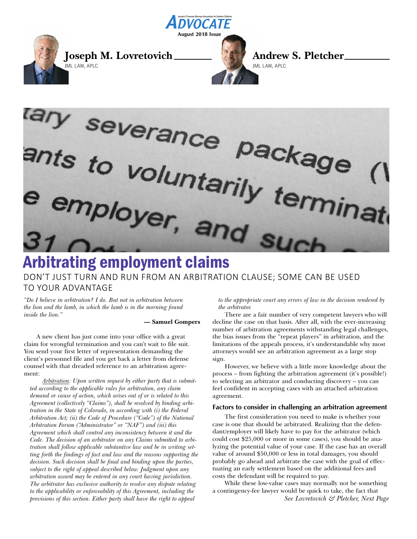



# DON'T JUST TURN AND RUN FROM AN ARBITRATION CLAUSE; SOME CAN BE USED TO YOUR ADVANTAGE

*"Do I believe in arbitration? I do. But not in arbitration between the lion and the lamb, in which the lamb is in the morning found inside the lion."*

#### **— Samuel Gompers**

A new client has just come into your office with a great claim for wrongful termination and you can't wait to file suit. You send your first letter of representation demanding the client's personnel file and you get back a letter from defense counsel with that dreaded reference to an arbitration agreement:

*Arbitration: Upon written request by either party that is submitted according to the applicable rules for arbitration, any claim demand or cause of action, which arises out of or is related to this Agreement (collectively "Claims"), shall be resolved by binding arbitration in the State of Colorado, in according with (i) the Federal Arbitration Act; (ii) the Code of Procedure ("Code") of the National Arbitration Forum ("Administrator" or "NAF") and (iii) this Agreement which shall control any inconsistency between it and the Code. The decision of an arbitrator on any Claims submitted to arbitration shall follow applicable substantive law and be in writing setting forth the findings of fact and law and the reasons supporting the decision. Such decision shall be final and binding upon the parties, subject to the right of appeal described below. Judgment upon any arbitration award may be entered in any court having jurisdiction. The arbitrator has exclusive authority to resolve any dispute relating to the applicability or enforceability of this Agreement, including the provisions of this section. Either party shall have the right to appeal*

*to the appropriate court any errors of law in the decision rendered by the arbitrator.* 

There are a fair number of very competent lawyers who will decline the case on that basis. After all, with the ever-increasing number of arbitration agreements withstanding legal challenges, the bias issues from the "repeat players" in arbitration, and the limitations of the appeals process, it's understandable why most attorneys would see an arbitration agreement as a large stop sign.

However, we believe with a little more knowledge about the process – from fighting the arbitration agreement (it's possible!) to selecting an arbitrator and conducting discovery – you can feel confident in accepting cases with an attached arbitration agreement.

#### **Factors to consider in challenging an arbitration agreement**

The first consideration you need to make is whether your case is one that should be arbitrated. Realizing that the defendant/employer will likely have to pay for the arbitrator (which could cost \$25,000 or more in some cases), you should be analyzing the potential value of your case. If the case has an overall value of around \$50,000 or less in total damages, you should probably go ahead and arbitrate the case with the goal of effectuating an early settlement based on the additional fees and costs the defendant will be required to pay.

While these low-value cases may normally not be something a contingency-fee lawyer would be quick to take, the fact that *See Lovretovich & Pletcher, Next Page*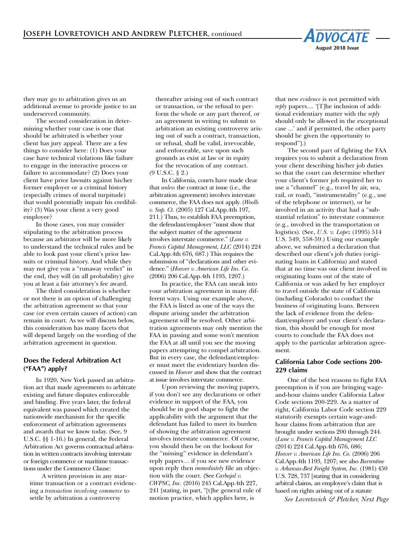

they may go to arbitration gives us an additional avenue to provide justice to an underserved community.

The second consideration in determining whether your case is one that should be arbitrated is whether your client has jury appeal. There are a few things to consider here: (1) Does your case have technical violations like failure to engage in the interactive process or failure to accommodate? (2) Does your client have prior lawsuits against his/her former employer or a criminal history (especially crimes of moral turpitude) that would potentially impair his credibility? (3) Was your client a very good employee?

In those cases, you may consider stipulating to the arbitration process because an arbitrator will be more likely to understand the technical rules and be able to look past your client's prior lawsuits or criminal history. And while they may not give you a "runaway verdict" in the end, they will (in all probability) give you at least a fair attorney's fee award.

The third consideration is whether or not there is an option of challenging the arbitration agreement so that your case (or even certain causes of action) can remain in court. As we will discuss below, this consideration has many facets that will depend largely on the wording of the arbitration agreement in question.

# **Does the Federal Arbitration Act ("FAA") apply?**

In 1920, New York passed an arbitration act that made agreements to arbitrate existing and future disputes enforceable and binding. Five years later, the federal equivalent was passed which created the nationwide mechanism for the specific enforcement of arbitration agreements and awards that we know today. (See, 9 U.S.C. §§ 1-16.) In general, the Federal Arbitration Act governs contractual arbitration in written contracts involving interstate or foreign commerce or maritime transactions under the Commerce Clause:

A written provision in any maritime transaction or a contract evidencing a *transaction involving commerce* to settle by arbitration a controversy

thereafter arising out of such contract or transaction, or the refusal to perform the whole or any part thereof, or an agreement in writing to submit to arbitration an existing controversy arising out of such a contract, transaction, or refusal, shall be valid, irrevocable, and enforceable, save upon such grounds as exist at law or in equity for the revocation of any contract. (9 U.S.C. § 2.)

In California, courts have made clear that *unless* the contract at issue (i.e., the arbitration agreement) involves interstate commerce, the FAA does not apply. (*Woolls v. Sup. Ct.* (2005) 127 Cal.App.4th 197, 211.) Thus, to establish FAA preemption, the defendant/employer "must show that the subject matter of the agreement involves interstate commerce." (*Lane v. Francis Capital Management, LLC* (2014) 224 Cal.App.4th 676, 687.) This requires the submission of "declarations and other evidence." (*Hoover v. American Life Ins. Co.* (2006) 206 Cal.App.4th 1193, 1207.)

In practice, the FAA can sneak into your arbitration agreement in many different ways. Using our example above, the FAA is listed as one of the ways the dispute arising under the arbitration agreement will be resolved. Other arbitration agreements may only mention the FAA in passing and some won't mention the FAA at all until you see the moving papers attempting to compel arbitration. But in every case, the defendant/employer must meet the evidentiary burden discussed in *Hoover* and show that the contract at issue involves interstate commerce.

Upon reviewing the moving papers, if you don't see any declarations or other evidence in support of the FAA, you should be in good shape to fight the applicability with the argument that the defendant has failed to meet its burden of showing the arbitration agreement involves interstate commerce. Of course, you should then be on the lookout for the "missing" evidence in defendant's reply papers… if you see new evidence upon reply then *immediately* file an objection with the court. (See *Carbajal v. CWPSC, Inc.* (2016) 245 Cal.App.4th 227, 241 [stating, in part, "[t]he general rule of motion practice, which applies here, is

that new *evidence* is not permitted with *reply* papers.... '[T]he inclusion of additional evidentiary matter with the *reply* should only be allowed in the exceptional case ...' and if permitted, the other party should be given the opportunity to respond"].)

The second part of fighting the FAA requires you to submit a declaration from your client describing his/her job duties so that the court can determine whether your client's former job required her to use a "channel" (e.g., travel by air, sea, rail, or road), "instrumentality" (e.g., use of the telephone or internet), or be involved in an activity that had a "substantial relation" to interstate commerce (e.g., involved in the transportation or logistics). (See, *U.S. v. Lopez* (1995) 514 U.S. 549, 558-59.) Using our example above, we submitted a declaration that described our client's job duties (originating loans in California) and stated that at no time was our client involved in originating loans out of the state of California or was asked by her employer to travel outside the state of California (including Colorado) to conduct the business of originating loans. Between the lack of evidence from the defendant/employer and your client's declaration, this should be enough for most courts to conclude the FAA does not apply to the particular arbitration agreement.

## **California Labor Code sections 200- 229 claims**

One of the best reasons to fight FAA preemption is if you are bringing wageand-hour claims under California Labor Code sections 200-229. As a matter of right, California Labor Code section 229 statutorily exempts certain wage-andhour claims from arbitration that are brought under sections 200 through 244. (*Lane v. Francis Capital Management LLC* (2014) 224 Cal.App.4th 676, 686; *Hoover v. American Life Ins. Co.* (2006) 206 Cal.App.4th 1193, 1207; see also *Barrentine v. Arkansas-Best Freight System, Inc.* (1981) 450 U.S. 728, 737 [stating that in considering arbitral claims, an employee's claim that is based on rights arising out of a statute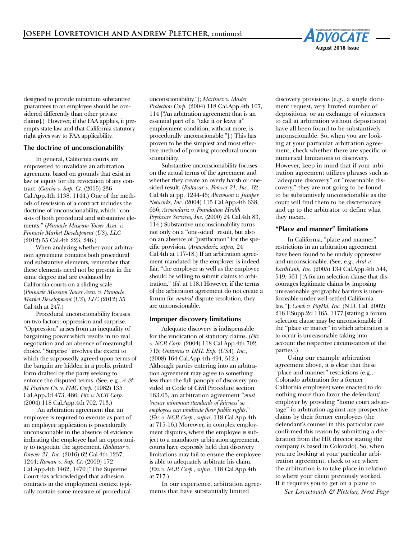

designed to provide minimum substantive guarantees to an employee should be considered differently than other private claims].) However, if the FAA applies, it preempts state law and that California statutory right gives way to FAA applicability.

### **The doctrine of unconscionability**

In general, California courts are empowered to invalidate an arbitration agreement based on grounds that exist in law or equity for the revocation of any contract. (*Garcia v. Sup. Ct.* (2015) 236 Cal.App.4th 1138, 1144.) One of the methods of rescission of a contract includes the doctrine of unconscionability, which "consists of both procedural and substantive elements." (*Pinnacle Museum Tower Assn. v. Pinnacle Market Development* (*US*)*, LLC* (2012) 55 Cal.4th 223, 246.)

When analyzing whether your arbitration agreement contains both procedural and substantive elements, remember that these elements need not be present in the same degree and are evaluated by California courts on a sliding scale. (*Pinnacle Museum Tower Assn. v. Pinnacle Market Development* (*US*)*, LLC* (2012) 55 Cal.4th at 247.)

Procedural unconscionability focuses on two factors: oppression and surprise. "Oppression" arises from an inequality of bargaining power which results in no real negotiation and an absence of meaningful choice. "Surprise" involves the extent to which the supposedly agreed-upon terms of the bargain are hidden in a prolix printed form drafted by the party seeking to enforce the disputed terms. (See, e.g., *A & M Produce Co.* v. *FMC Corp.* (1982) 135 Cal.App.3d 473, 486; *Fitz v. NCR Corp.* (2004) 118 Cal.App.4th 702, 713.)

An arbitration agreement that an employee is required to execute as part of an employee application is procedurally unconscionable in the absence of evidence indicating the employee had an opportunity to negotiate the agreement. (*Baltazar v. Forever 21, Inc.* (2016) 62 Cal.4th 1237, 1244; *Roman v. Sup. Ct.* (2009) 172 Cal.App.4th 1462, 1470 ["The Supreme Court has acknowledged that adhesion contracts in the employment context typically contain some measure of procedural

unconscionability."]; *Martinez v. Master Protection Corp.* (2004) 118 Cal.App.4th 107, 114 ["An arbitration agreement that is an essential part of a "take it or leave it" employment condition, without more, is procedurally unconscionable."].) This has proven to be the simplest and most effective method of proving procedural unconscionability.

Substantive unconscionability focuses on the actual terms of the agreement and whether they create an overly harsh or onesided result. (*Baltazar v. Forever 21, Inc.,* 62 Cal.4th at pp. 1244-45; *Abramson v. Juniper Networks, Inc.* (2004) 115 Cal.App.4th 638, 656; *Armendariz v. Foundation Health Psychcare Services, Inc.* (2000) 24 Cal.4th 83, 114.) Substantive unconscionability turns not only on a "one-sided" result, but also on an absence of "justification" for the specific provision. (*Armendariz, supra,* 24 Cal.4th at 117-18.) If an arbitration agreement mandated by the employer is indeed fair, "the employer as well as the employee should be willing to submit claims to arbitration." (*Id.* at 118.) However, if the terms of the arbitration agreement do not create a forum for *neutral* dispute resolution, they are unconscionable.

#### **Improper discovery limitations**

Adequate discovery is indispensable for the vindication of statutory claims. (*Fitz v. NCR Corp.* (2004) 118 Cal.App.4th 702, 715; *Ontiveros v. DHL Exp.* (*USA*)*, Inc.,* (2008) 164 Cal.App.4th 494, 512.) Although parties entering into an arbitration agreement may agree to something less than the full panoply of discovery provided in Code of Civil Procedure section 183.05, an arbitration agreement "*must 'ensure minimum standards of fairness' so employees can vindicate their public rights*." (*Fitz v. NCR Corp., supra*, 118 Cal.App.4th at 715-16.) Moreover, in complex employment disputes, where the employee is subject to a mandatory arbitration agreement, courts have expressly held that discovery limitations may fail to ensure the employee is able to adequately arbitrate his claim. (*Fitz v. NCR Corp., supra*, 118 Cal.App.4th at 717.)

In our experience, arbitration agreements that have substantially limited

discovery provisions (e.g., a single document request, very limited number of depositions, or an exchange of witnesses to call at arbitration without depositions) have all been found to be substantively unconscionable. So, when you are looking at your particular arbitration agreement, check whether there are specific or numerical limitations to discovery. However, keep in mind that if your arbitration agreement utilizes phrases such as "adequate discovery" or "reasonable discovery," they are not going to be found to be substantively unconscionable as the court will find them to be discretionary and up to the arbitrator to define what they mean.

# **"Place and manner" limitations**

In California, "place and manner" restrictions in an arbitration agreement have been found to be unduly oppressive and unconscionable. (See, e.g., *Aral v. EarthLink, Inc.* (2005) 134 Cal.App.4th 544, 549, 561 ["A forum selection clause that discourages legitimate claims by imposing unreasonable geographic barriers is unenforceable under well-settled California law."]; *Comb v. PayPal, Inc.* (N.D. Cal. 2002) 218 F.Supp.2d 1165, 1177 [stating a forum selection clause may be unconscionable if the "place or matter" in which arbitration is to occur is unreasonable taking into account the respective circumstances of the parties].)

Using our example arbitration agreement above, it is clear that these "place and manner" restrictions (e.g., Colorado arbitration for a former California employee) were enacted to do nothing more than favor the defendant/ employer by providing "home court advantage" in arbitration against any prospective claims by their former employees (the defendant's counsel in this particular case confirmed this reason by submitting a declaration from the HR director stating the company is based in Colorado). So, when you are looking at your particular arbitration agreement, check to see where the arbitration is to take place in relation to where your client previously worked. If it requires you to get on a plane to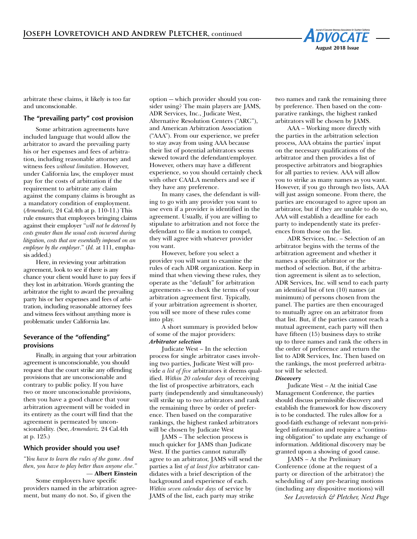

arbitrate these claims, it likely is too far and unconscionable.

# **The "prevailing party" cost provision**

Some arbitration agreements have included language that would allow the arbitrator to award the prevailing party his or her expenses and fees of arbitration, including reasonable attorney and witness fees *without limitation*. However, under California law, the employer must pay for the costs of arbitration if the requirement to arbitrate any claim against the company claims is brought as a mandatory condition of employment. (*Armendariz,* 24 Cal.4th at p. 110-11.) This rule ensures that employees bringing claims against their employer "*will not be deterred by costs greater than the usual costs incurred during litigation, costs that are essentially imposed on an employee by the employer*." (*Id.* at 111, emphasis added.)

Here, in reviewing your arbitration agreement, look to see if there is any chance your client would have to pay fees if they lost in arbitration. Words granting the arbitrator the right to award the prevailing party his or her expenses and fees of arbitration, including reasonable attorney fees and witness fees without anything more is problematic under California law.

# **Severance of the "offending" provisions**

Finally, in arguing that your arbitration agreement is unconscionable, you should request that the court strike any offending provisions that are unconscionable and contrary to public policy. If you have two or more unconscionable provisions, then you have a good chance that your arbitration agreement will be voided in its entirety as the court will find that the agreement is permeated by unconscionability. (See, *Armendariz.* 24 Cal.4th at p. 125.)

### **Which provider should you use?**

*"You have to learn the rules of the game. And then, you have to play better than anyone else." —* **Albert Einstein**

Some employers have specific providers named in the arbitration agreement, but many do not. So, if given the

option — which provider should you consider using? The main players are JAMS, ADR Services, Inc., Judicate West, Alternative Resolution Centers ("ARC"), and American Arbitration Association ("AAA"). From our experience, we prefer to stay away from using AAA because their list of potential arbitrators seems skewed toward the defendant/employer. However, others may have a different experience, so you should certainly check with other CAALA members and see if they have any preference.

In many cases, the defendant is willing to go with any provider you want to use even if a provider is identified in the agreement. Usually, if you are willing to stipulate to arbitration and not force the defendant to file a motion to compel, they will agree with whatever provider you want.

However, before you select a provider you will want to examine the rules of each ADR organization. Keep in mind that when viewing these rules, they operate as the "default" for arbitration agreements – so check the terms of your arbitration agreement first. Typically, if your arbitration agreement is shorter, you will see more of these rules come into play.

 A short summary is provided below of some of the major providers: *Arbitrator selection*

Judicate West – In the selection process for single arbitrator cases involving two parties, Judicate West will provide *a list of five* arbitrators it deems qualified. *Within 20 calendar days* of receiving the list of prospective arbitrators, each party (independently and simultaneously) will strike up to two arbitrators and rank the remaining three by order of preference. Then based on the comparative rankings, the highest ranked arbitrators will be chosen by Judicate West

JAMS – The selection process is much quicker for JAMS than Judicate West. If the parties cannot naturally agree to an arbitrator, JAMS will send the parties a list *of at least five* arbitrator candidates with a brief description of the background and experience of each. *Within seven calendar days* of service by JAMS of the list, each party may strike

two names and rank the remaining three by preference. Then based on the comparative rankings, the highest ranked arbitrators will be chosen by JAMS.

AAA – Working more directly with the parties in the arbitration selection process, AAA obtains the parties' input on the necessary qualifications of the arbitrator and then provides a list of prospective arbitrators and biographies for all parties to review. AAA will allow you to strike as many names as you want. However, if you go through two lists, AAA will just assign someone. From there, the parties are encouraged to agree upon an arbitrator, but if they are unable to do so, AAA will establish a deadline for each party to independently state its preferences from those on the list.

ADR Services, Inc. – Selection of an arbitrator begins with the terms of the arbitration agreement and whether it names a specific arbitrator or the method of selection. But, if the arbitration agreement is silent as to selection, ADR Services, Inc. will send to each party an identical list of ten (10) names (at minimum) of persons chosen from the panel. The parties are then encouraged to mutually agree on an arbitrator from that list. But, if the parties cannot reach a mutual agreement, each party will then have fifteen (15) business days to strike up to three names and rank the others in the order of preference and return the list to ADR Services, Inc. Then based on the rankings, the most preferred arbitrator will be selected.

### *Discovery*

Judicate West – At the initial Case Management Conference, the parties should discuss permissible discovery and establish the framework for how discovery is to be conducted. The rules allow for a good-faith exchange of relevant non-privileged information and require a "continuing obligation" to update any exchange of information. Additional discovery may be granted upon a showing of good cause.

JAMS – At the Preliminary Conference (done at the request of a party or direction of the arbitrator) the scheduling of any pre-hearing motions (including any dispositive motions) will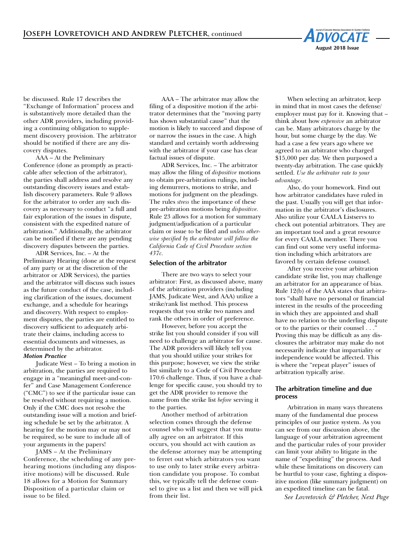

be discussed. Rule 17 describes the "Exchange of Information" process and is substantively more detailed than the other ADR providers, including providing a continuing obligation to supplement discovery provision. The arbitrator should be notified if there are any discovery disputes.

AAA – At the Preliminary Conference (done as promptly as practicable after selection of the arbitrator), the parties shall address and resolve any outstanding discovery issues and establish discovery parameters. Rule 9 allows for the arbitrator to order any such discovery as necessary to conduct "a full and fair exploration of the issues in dispute, consistent with the expedited nature of arbitration." Additionally, the arbitrator can be notified if there are any pending discovery disputes between the parties.

ADR Services, Inc. – At the Preliminary Hearing (done at the request of any party or at the discretion of the arbitrator or ADR Services), the parties and the arbitrator will discuss such issues as the future conduct of the case, including clarification of the issues, document exchange, and a schedule for hearings and discovery. With respect to employment disputes, the parties are entitled to discovery sufficient to adequately arbitrate their claims, including access to essential documents and witnesses, as determined by the arbitrator.

# *Motion Practice*

Judicate West – To bring a motion in arbitration, the parties are required to engage in a "meaningful meet-and-confer" and Case Management Conference ("CMC") to see if the particular issue can be resolved without requiring a motion. Only if the CMC does not resolve the outstanding issue will a motion and briefing schedule be set by the arbitrator. A hearing for the motion may or may not be required, so be sure to include all of your arguments in the papers!

JAMS – At the Preliminary Conference, the scheduling of any prehearing motions (including any dispositive motions) will be discussed. Rule 18 allows for a Motion for Summary Disposition of a particular claim or issue to be filed.

AAA – The arbitrator may allow the filing of a dispositive motion if the arbitrator determines that the "moving party has shown substantial cause" that the motion is likely to succeed and dispose of or narrow the issues in the case. A high standard and certainly worth addressing with the arbitrator if your case has clear factual issues of dispute.

ADR Services, Inc. – The arbitrator may allow the filing of *dispositive* motions to obtain pre-arbitration rulings, including demurrers, motions to strike, and motions for judgment on the pleadings. The rules *stress* the importance of these pre-arbitration motions being *dispositive.* Rule 23 allows for a motion for summary judgment/adjudication of a particular claim or issue to be filed and *unless otherwise specified by the arbitrator will follow the California Code of Civil Procedure section 437c.* 

## **Selection of the arbitrator**

There are two ways to select your arbitrator: First, as discussed above, many of the arbitration providers (including JAMS, Judicate West, and AAA) utilize a strike/rank list method. This process requests that you strike two names and rank the others in order of preference.

However, before you accept the strike list you should consider if you will need to challenge an arbitrator for cause. The ADR providers will likely tell you that you should utilize your strikes for this purpose; however, we view the strike list similarly to a Code of Civil Procedure 170.6 challenge. Thus, if you have a challenge for specific cause, you should try to get the ADR provider to remove the name from the strike list *before* serving it to the parties.

Another method of arbitration selection comes through the defense counsel who will suggest that you mutually agree on an arbitrator. If this occurs, you should act with caution as the defense attorney may be attempting to ferret out which arbitrators you want to use only to later strike every arbitration candidate you propose. To combat this, we typically tell the defense counsel to give us a list and then we will pick from their list.

When selecting an arbitrator, keep in mind that in most cases the defense/ employer must pay for it. Knowing that – think about how *expensive* an arbitrator can be. Many arbitrators charge by the hour, but some charge by the day. We had a case a few years ago where we agreed to an arbitrator who charged \$15,000 per day. We then purposed a twenty-day arbitration. The case quickly settled. *Use the arbitrator rate to your advantage*.

Also, do your homework. Find out how arbitrator candidates have ruled in the past. Usually you will get that information in the arbitrator's disclosures. Also utilize your CAALA Listservs to check out potential arbitrators. They are an important tool and a great resource for every CAALA member. There you can find out some very useful information including which arbitrators are favored by certain defense counsel.

After you receive your arbitration candidate strike list, you may challenge an arbitrator for an appearance of bias. Rule 12(b) of the AAA states that arbitrators "shall have no personal or financial interest in the results of the proceeding in which they are appointed and shall have no relation to the underling dispute or to the parties or their counsel . . ." Proving this may be difficult as any disclosures the arbitrator may make do not necessarily indicate that impartiality or independence would be affected. This is where the "repeat player" issues of arbitration typically arise.

# **The arbitration timeline and due process**

Arbitration in many ways threatens many of the fundamental due process principles of our justice system. As you can see from our discussion above, the language of your arbitration agreement and the particular rules of your provider can limit your ability to litigate in the name of "expediting" the process. And while these limitations on discovery can be hurtful to your case, fighting a dispositive motion (like summary judgment) on an expedited timeline can be fatal.